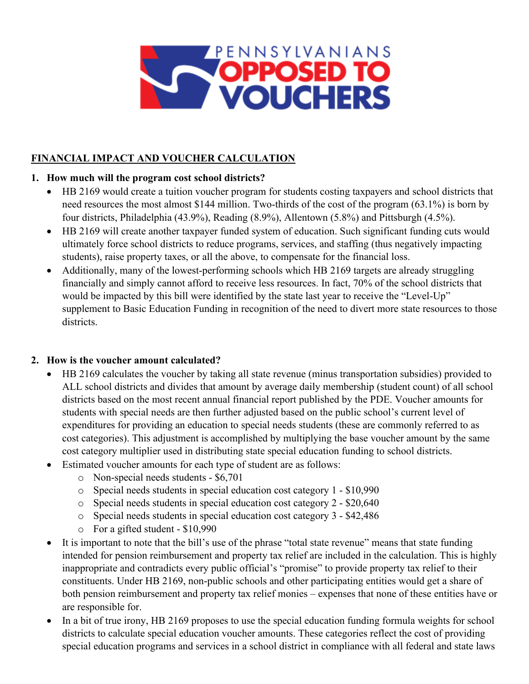

# **FINANCIAL IMPACT AND VOUCHER CALCULATION**

# **1. How much will the program cost school districts?**

- HB 2169 would create a tuition voucher program for students costing taxpayers and school districts that need resources the most almost \$144 million. Two-thirds of the cost of the program (63.1%) is born by four districts, Philadelphia (43.9%), Reading (8.9%), Allentown (5.8%) and Pittsburgh (4.5%).
- HB 2169 will create another taxpayer funded system of education. Such significant funding cuts would ultimately force school districts to reduce programs, services, and staffing (thus negatively impacting students), raise property taxes, or all the above, to compensate for the financial loss.
- Additionally, many of the lowest-performing schools which HB 2169 targets are already struggling financially and simply cannot afford to receive less resources. In fact, 70% of the school districts that would be impacted by this bill were identified by the state last year to receive the "Level-Up" supplement to Basic Education Funding in recognition of the need to divert more state resources to those districts.

#### **2. How is the voucher amount calculated?**

- HB 2169 calculates the voucher by taking all state revenue (minus transportation subsidies) provided to ALL school districts and divides that amount by average daily membership (student count) of all school districts based on the most recent annual financial report published by the PDE. Voucher amounts for students with special needs are then further adjusted based on the public school's current level of expenditures for providing an education to special needs students (these are commonly referred to as cost categories). This adjustment is accomplished by multiplying the base voucher amount by the same cost category multiplier used in distributing state special education funding to school districts.
- Estimated voucher amounts for each type of student are as follows:
	- o Non-special needs students \$6,701
	- o Special needs students in special education cost category 1 \$10,990
	- o Special needs students in special education cost category 2 \$20,640
	- o Special needs students in special education cost category 3 \$42,486
	- o For a gifted student \$10,990
- It is important to note that the bill's use of the phrase "total state revenue" means that state funding intended for pension reimbursement and property tax relief are included in the calculation. This is highly inappropriate and contradicts every public official's "promise" to provide property tax relief to their constituents. Under HB 2169, non-public schools and other participating entities would get a share of both pension reimbursement and property tax relief monies – expenses that none of these entities have or are responsible for.
- In a bit of true irony, HB 2169 proposes to use the special education funding formula weights for school districts to calculate special education voucher amounts. These categories reflect the cost of providing special education programs and services in a school district in compliance with all federal and state laws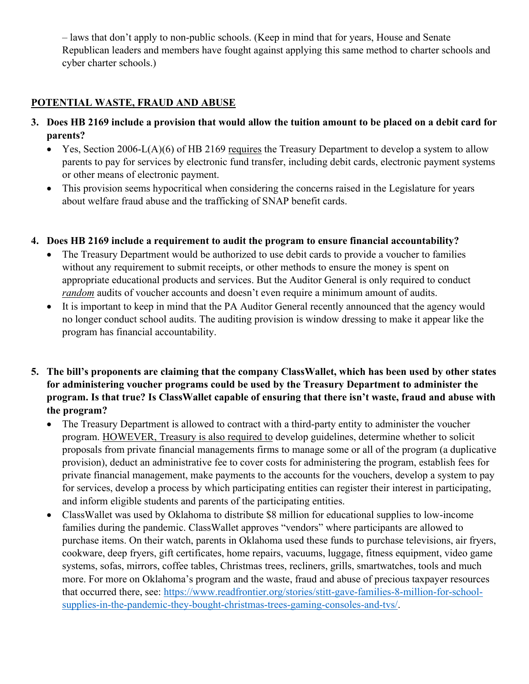– laws that don't apply to non-public schools. (Keep in mind that for years, House and Senate Republican leaders and members have fought against applying this same method to charter schools and cyber charter schools.)

# **POTENTIAL WASTE, FRAUD AND ABUSE**

- **3. Does HB 2169 include a provision that would allow the tuition amount to be placed on a debit card for parents?** 
	- Yes, Section 2006-L(A)(6) of HB 2169 requires the Treasury Department to develop a system to allow parents to pay for services by electronic fund transfer, including debit cards, electronic payment systems or other means of electronic payment.
	- This provision seems hypocritical when considering the concerns raised in the Legislature for years about welfare fraud abuse and the trafficking of SNAP benefit cards.

#### **4. Does HB 2169 include a requirement to audit the program to ensure financial accountability?**

- The Treasury Department would be authorized to use debit cards to provide a voucher to families without any requirement to submit receipts, or other methods to ensure the money is spent on appropriate educational products and services. But the Auditor General is only required to conduct *random* audits of voucher accounts and doesn't even require a minimum amount of audits.
- It is important to keep in mind that the PA Auditor General recently announced that the agency would no longer conduct school audits. The auditing provision is window dressing to make it appear like the program has financial accountability.
- **5. The bill's proponents are claiming that the company ClassWallet, which has been used by other states for administering voucher programs could be used by the Treasury Department to administer the program. Is that true? Is ClassWallet capable of ensuring that there isn't waste, fraud and abuse with the program?**
	- The Treasury Department is allowed to contract with a third-party entity to administer the voucher program. HOWEVER, Treasury is also required to develop guidelines, determine whether to solicit proposals from private financial managements firms to manage some or all of the program (a duplicative provision), deduct an administrative fee to cover costs for administering the program, establish fees for private financial management, make payments to the accounts for the vouchers, develop a system to pay for services, develop a process by which participating entities can register their interest in participating, and inform eligible students and parents of the participating entities.
	- ClassWallet was used by Oklahoma to distribute \$8 million for educational supplies to low-income families during the pandemic. ClassWallet approves "vendors" where participants are allowed to purchase items. On their watch, parents in Oklahoma used these funds to purchase televisions, air fryers, cookware, deep fryers, gift certificates, home repairs, vacuums, luggage, fitness equipment, video game systems, sofas, mirrors, coffee tables, Christmas trees, recliners, grills, smartwatches, tools and much more. For more on Oklahoma's program and the waste, fraud and abuse of precious taxpayer resources that occurred there, see: [https://www.readfrontier.org/stories/stitt-gave-families-8-million-for-school](https://www.readfrontier.org/stories/stitt-gave-families-8-million-for-school-supplies-in-the-pandemic-they-bought-christmas-trees-gaming-consoles-and-tvs/)[supplies-in-the-pandemic-they-bought-christmas-trees-gaming-consoles-and-tvs/.](https://www.readfrontier.org/stories/stitt-gave-families-8-million-for-school-supplies-in-the-pandemic-they-bought-christmas-trees-gaming-consoles-and-tvs/)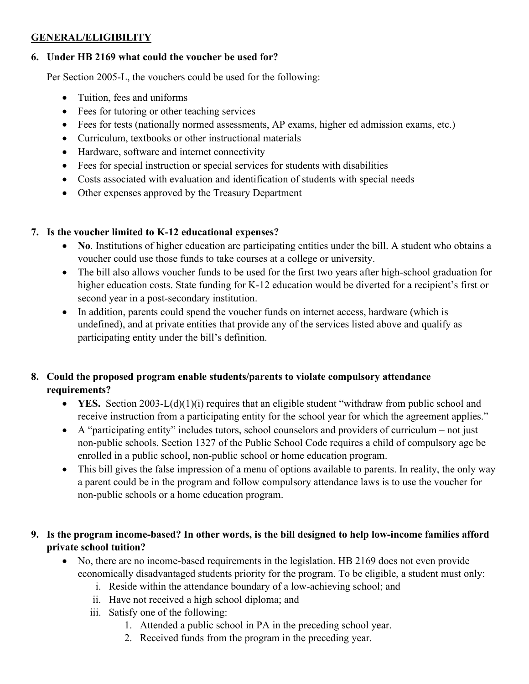# **GENERAL/ELIGIBILITY**

### **6. Under HB 2169 what could the voucher be used for?**

Per Section 2005-L, the vouchers could be used for the following:

- Tuition, fees and uniforms
- Fees for tutoring or other teaching services
- Fees for tests (nationally normed assessments, AP exams, higher ed admission exams, etc.)
- Curriculum, textbooks or other instructional materials
- Hardware, software and internet connectivity
- Fees for special instruction or special services for students with disabilities
- Costs associated with evaluation and identification of students with special needs
- Other expenses approved by the Treasury Department

# **7. Is the voucher limited to K-12 educational expenses?**

- **No**. Institutions of higher education are participating entities under the bill. A student who obtains a voucher could use those funds to take courses at a college or university.
- The bill also allows voucher funds to be used for the first two years after high-school graduation for higher education costs. State funding for K-12 education would be diverted for a recipient's first or second year in a post-secondary institution.
- In addition, parents could spend the voucher funds on internet access, hardware (which is undefined), and at private entities that provide any of the services listed above and qualify as participating entity under the bill's definition.

# **8. Could the proposed program enable students/parents to violate compulsory attendance requirements?**

- **YES.** Section 2003-L(d)(1)(i) requires that an eligible student "withdraw from public school and receive instruction from a participating entity for the school year for which the agreement applies."
- A "participating entity" includes tutors, school counselors and providers of curriculum not just non-public schools. Section 1327 of the Public School Code requires a child of compulsory age be enrolled in a public school, non-public school or home education program.
- This bill gives the false impression of a menu of options available to parents. In reality, the only way a parent could be in the program and follow compulsory attendance laws is to use the voucher for non-public schools or a home education program.

# **9. Is the program income-based? In other words, is the bill designed to help low-income families afford private school tuition?**

- No, there are no income-based requirements in the legislation. HB 2169 does not even provide economically disadvantaged students priority for the program. To be eligible, a student must only:
	- i. Reside within the attendance boundary of a low-achieving school; and
	- ii. Have not received a high school diploma; and
	- iii. Satisfy one of the following:
		- 1. Attended a public school in PA in the preceding school year.
		- 2. Received funds from the program in the preceding year.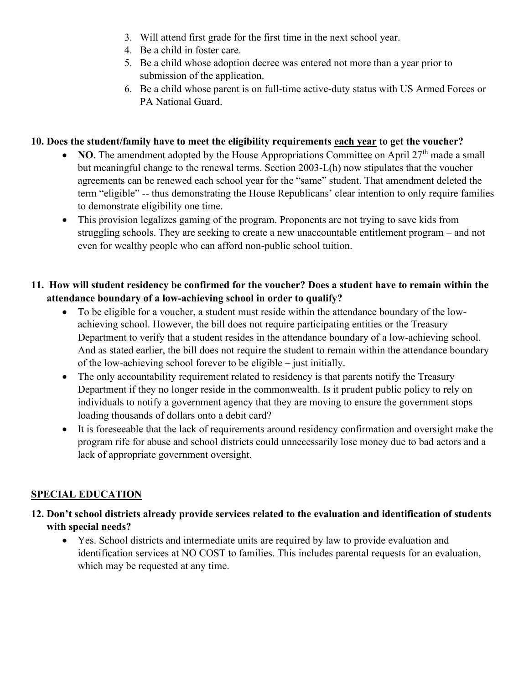- 3. Will attend first grade for the first time in the next school year.
- 4. Be a child in foster care.
- 5. Be a child whose adoption decree was entered not more than a year prior to submission of the application.
- 6. Be a child whose parent is on full-time active-duty status with US Armed Forces or PA National Guard.

### **10. Does the student/family have to meet the eligibility requirements each year to get the voucher?**

- **NO**. The amendment adopted by the House Appropriations Committee on April  $27<sup>th</sup>$  made a small but meaningful change to the renewal terms. Section 2003-L(h) now stipulates that the voucher agreements can be renewed each school year for the "same" student. That amendment deleted the term "eligible" -- thus demonstrating the House Republicans' clear intention to only require families to demonstrate eligibility one time.
- This provision legalizes gaming of the program. Proponents are not trying to save kids from struggling schools. They are seeking to create a new unaccountable entitlement program – and not even for wealthy people who can afford non-public school tuition.

### **11. How will student residency be confirmed for the voucher? Does a student have to remain within the attendance boundary of a low-achieving school in order to qualify?**

- To be eligible for a voucher, a student must reside within the attendance boundary of the lowachieving school. However, the bill does not require participating entities or the Treasury Department to verify that a student resides in the attendance boundary of a low-achieving school. And as stated earlier, the bill does not require the student to remain within the attendance boundary of the low-achieving school forever to be eligible – just initially.
- The only accountability requirement related to residency is that parents notify the Treasury Department if they no longer reside in the commonwealth. Is it prudent public policy to rely on individuals to notify a government agency that they are moving to ensure the government stops loading thousands of dollars onto a debit card?
- It is foreseeable that the lack of requirements around residency confirmation and oversight make the program rife for abuse and school districts could unnecessarily lose money due to bad actors and a lack of appropriate government oversight.

# **SPECIAL EDUCATION**

- **12. Don't school districts already provide services related to the evaluation and identification of students with special needs?**
	- Yes. School districts and intermediate units are required by law to provide evaluation and identification services at NO COST to families. This includes parental requests for an evaluation, which may be requested at any time.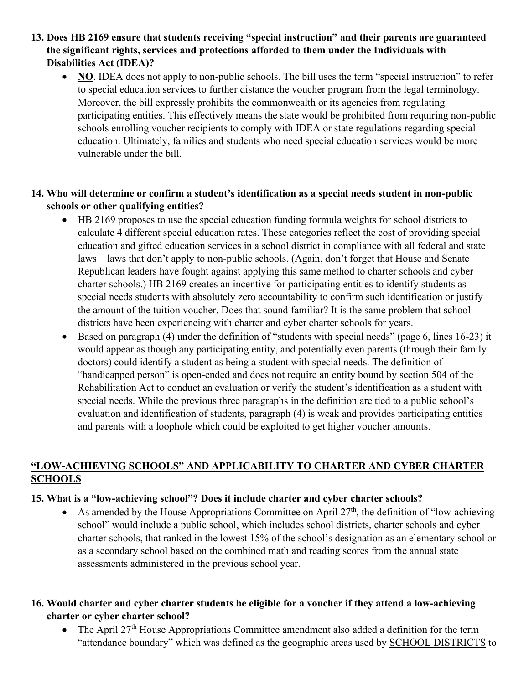**13. Does HB 2169 ensure that students receiving "special instruction" and their parents are guaranteed the significant rights, services and protections afforded to them under the Individuals with Disabilities Act (IDEA)?** 

• **NO**. IDEA does not apply to non-public schools. The bill uses the term "special instruction" to refer to special education services to further distance the voucher program from the legal terminology. Moreover, the bill expressly prohibits the commonwealth or its agencies from regulating participating entities. This effectively means the state would be prohibited from requiring non-public schools enrolling voucher recipients to comply with IDEA or state regulations regarding special education. Ultimately, families and students who need special education services would be more vulnerable under the bill.

### **14. Who will determine or confirm a student's identification as a special needs student in non-public schools or other qualifying entities?**

- HB 2169 proposes to use the special education funding formula weights for school districts to calculate 4 different special education rates. These categories reflect the cost of providing special education and gifted education services in a school district in compliance with all federal and state laws – laws that don't apply to non-public schools. (Again, don't forget that House and Senate Republican leaders have fought against applying this same method to charter schools and cyber charter schools.) HB 2169 creates an incentive for participating entities to identify students as special needs students with absolutely zero accountability to confirm such identification or justify the amount of the tuition voucher. Does that sound familiar? It is the same problem that school districts have been experiencing with charter and cyber charter schools for years.
- Based on paragraph (4) under the definition of "students with special needs" (page 6, lines 16-23) it would appear as though any participating entity, and potentially even parents (through their family doctors) could identify a student as being a student with special needs. The definition of "handicapped person" is open-ended and does not require an entity bound by section 504 of the Rehabilitation Act to conduct an evaluation or verify the student's identification as a student with special needs. While the previous three paragraphs in the definition are tied to a public school's evaluation and identification of students, paragraph (4) is weak and provides participating entities and parents with a loophole which could be exploited to get higher voucher amounts.

### **"LOW-ACHIEVING SCHOOLS" AND APPLICABILITY TO CHARTER AND CYBER CHARTER SCHOOLS**

#### **15. What is a "low-achieving school"? Does it include charter and cyber charter schools?**

• As amended by the House Appropriations Committee on April  $27<sup>th</sup>$ , the definition of "low-achieving" school" would include a public school, which includes school districts, charter schools and cyber charter schools, that ranked in the lowest 15% of the school's designation as an elementary school or as a secondary school based on the combined math and reading scores from the annual state assessments administered in the previous school year.

# **16. Would charter and cyber charter students be eligible for a voucher if they attend a low-achieving charter or cyber charter school?**

• The April  $27<sup>th</sup>$  House Appropriations Committee amendment also added a definition for the term "attendance boundary" which was defined as the geographic areas used by SCHOOL DISTRICTS to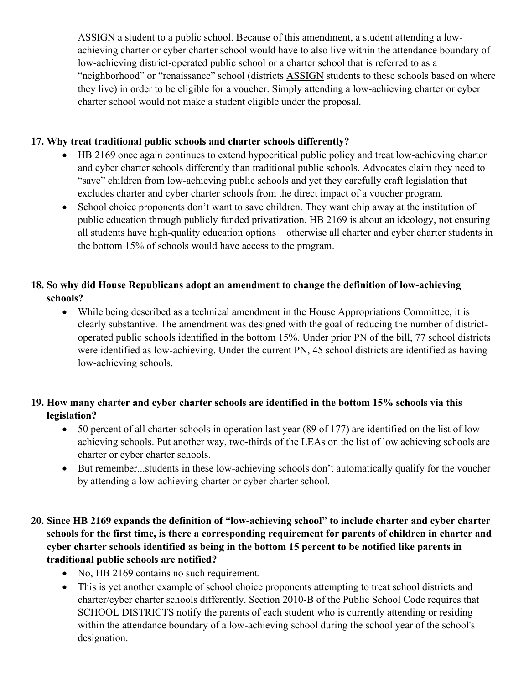ASSIGN a student to a public school. Because of this amendment, a student attending a lowachieving charter or cyber charter school would have to also live within the attendance boundary of low-achieving district-operated public school or a charter school that is referred to as a "neighborhood" or "renaissance" school (districts ASSIGN students to these schools based on where they live) in order to be eligible for a voucher. Simply attending a low-achieving charter or cyber charter school would not make a student eligible under the proposal.

### **17. Why treat traditional public schools and charter schools differently?**

- HB 2169 once again continues to extend hypocritical public policy and treat low-achieving charter and cyber charter schools differently than traditional public schools. Advocates claim they need to "save" children from low-achieving public schools and yet they carefully craft legislation that excludes charter and cyber charter schools from the direct impact of a voucher program.
- School choice proponents don't want to save children. They want chip away at the institution of public education through publicly funded privatization. HB 2169 is about an ideology, not ensuring all students have high-quality education options – otherwise all charter and cyber charter students in the bottom 15% of schools would have access to the program.

### **18. So why did House Republicans adopt an amendment to change the definition of low-achieving schools?**

• While being described as a technical amendment in the House Appropriations Committee, it is clearly substantive. The amendment was designed with the goal of reducing the number of districtoperated public schools identified in the bottom 15%. Under prior PN of the bill, 77 school districts were identified as low-achieving. Under the current PN, 45 school districts are identified as having low-achieving schools.

# **19. How many charter and cyber charter schools are identified in the bottom 15% schools via this legislation?**

- 50 percent of all charter schools in operation last year (89 of 177) are identified on the list of lowachieving schools. Put another way, two-thirds of the LEAs on the list of low achieving schools are charter or cyber charter schools.
- But remember...students in these low-achieving schools don't automatically qualify for the voucher by attending a low-achieving charter or cyber charter school.

# **20. Since HB 2169 expands the definition of "low-achieving school" to include charter and cyber charter schools for the first time, is there a corresponding requirement for parents of children in charter and cyber charter schools identified as being in the bottom 15 percent to be notified like parents in traditional public schools are notified?**

- No, HB 2169 contains no such requirement.
- This is yet another example of school choice proponents attempting to treat school districts and charter/cyber charter schools differently. Section 2010-B of the Public School Code requires that SCHOOL DISTRICTS notify the parents of each student who is currently attending or residing within the attendance boundary of a low-achieving school during the school year of the school's designation.